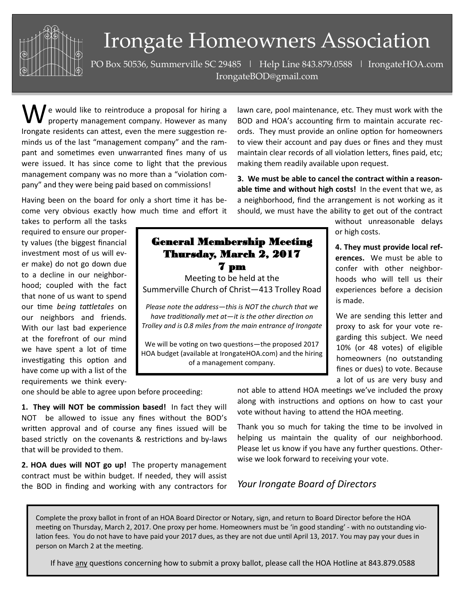

## Irongate Homeowners Association

PO Box 50536, Summerville SC 29485 | Help Line 843.879.0588 | IrongateHOA.com IrongateBOD@gmail.com

 $\bf M$  e would like to reintroduce a proposal for hiring a property management company. However as many Irongate residents can attest, even the mere suggestion reminds us of the last "management company" and the rampant and sometimes even unwarranted fines many of us were issued. It has since come to light that the previous management company was no more than a "violation company" and they were being paid based on commissions!

Having been on the board for only a short time it has become very obvious exactly how much time and effort it

takes to perform all the tasks required to ensure our property values (the biggest financial investment most of us will ever make) do not go down due to a decline in our neighborhood; coupled with the fact that none of us want to spend our time *being tattletales* on our neighbors and friends. With our last bad experience at the forefront of our mind we have spent a lot of time investigating this option and have come up with a list of the requirements we think every-

## General Membership Meeting Thursday, March 2, 2017 7 pm

Meeting to be held at the Summerville Church of Christ—413 Trolley Road

*Please note the address—this is NOT the church that we have traditionally met at—it is the other direction on Trolley and is 0.8 miles from the main entrance of Irongate*

We will be voting on two questions—the proposed 2017 HOA budget (available at IrongateHOA.com) and the hiring of a management company.

lawn care, pool maintenance, etc. They must work with the BOD and HOA's accounting firm to maintain accurate records. They must provide an online option for homeowners to view their account and pay dues or fines and they must maintain clear records of all violation letters, fines paid, etc; making them readily available upon request.

**3. We must be able to cancel the contract within a reasonable time and without high costs!** In the event that we, as a neighborhood, find the arrangement is not working as it should, we must have the ability to get out of the contract

> without unreasonable delays or high costs.

**4. They must provide local references.** We must be able to confer with other neighborhoods who will tell us their experiences before a decision is made.

We are sending this letter and proxy to ask for your vote regarding this subject. We need 10% (or 48 votes) of eligible homeowners (no outstanding fines or dues) to vote. Because a lot of us are very busy and

one should be able to agree upon before proceeding:

**1. They will NOT be commission based!** In fact they will NOT be allowed to issue any fines without the BOD's written approval and of course any fines issued will be based strictly on the covenants & restrictions and by-laws that will be provided to them.

**2. HOA dues will NOT go up!** The property management contract must be within budget. If needed, they will assist the BOD in finding and working with any contractors for

not able to attend HOA meetings we've included the proxy along with instructions and options on how to cast your vote without having to attend the HOA meeting.

Thank you so much for taking the time to be involved in helping us maintain the quality of our neighborhood. Please let us know if you have any further questions. Otherwise we look forward to receiving your vote.

## *Your Irongate Board of Directors*

Complete the proxy ballot in front of an HOA Board Director or Notary, sign, and return to Board Director before the HOA meeting on Thursday, March 2, 2017. One proxy per home. Homeowners must be 'in good standing' - with no outstanding violation fees. You do not have to have paid your 2017 dues, as they are not due until April 13, 2017. You may pay your dues in person on March 2 at the meeting.

If have any questions concerning how to submit a proxy ballot, please call the HOA Hotline at 843.879.0588